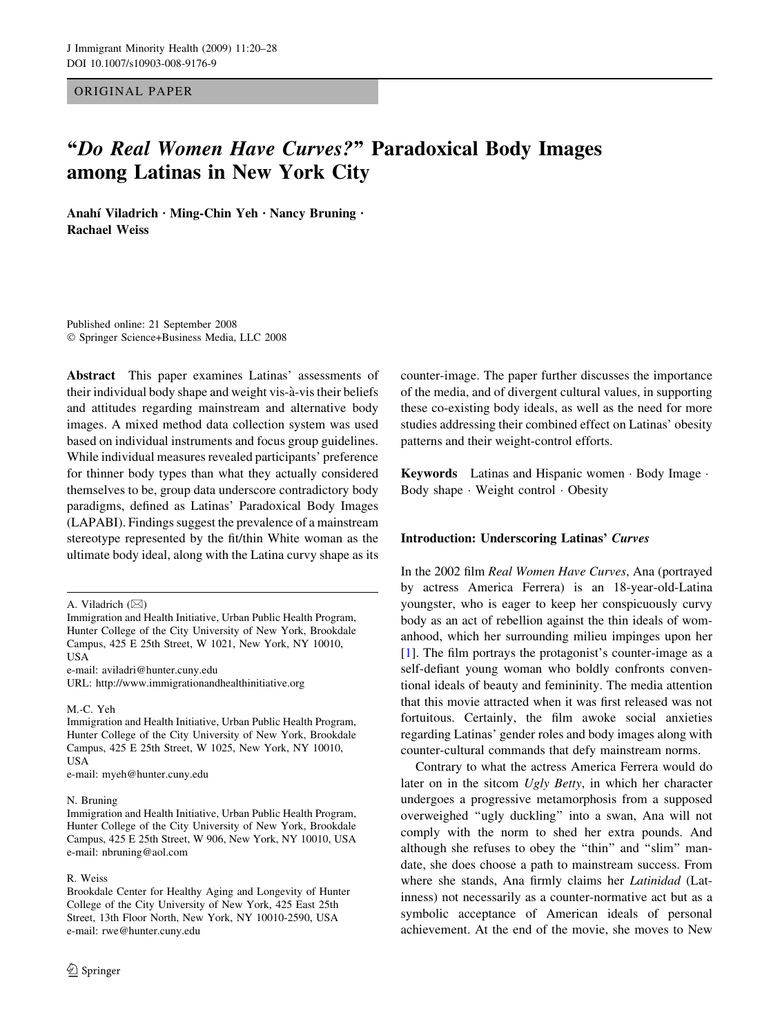ORIGINAL PAPER

# ''Do Real Women Have Curves?'' Paradoxical Body Images among Latinas in New York City

Anahí Viladrich · Ming-Chin Yeh · Nancy Bruning · Rachael Weiss

Published online: 21 September 2008 Springer Science+Business Media, LLC 2008

Abstract This paper examines Latinas' assessments of their individual body shape and weight vis-à-vis their beliefs and attitudes regarding mainstream and alternative body images. A mixed method data collection system was used based on individual instruments and focus group guidelines. While individual measures revealed participants' preference for thinner body types than what they actually considered themselves to be, group data underscore contradictory body paradigms, defined as Latinas' Paradoxical Body Images (LAPABI). Findings suggest the prevalence of a mainstream stereotype represented by the fit/thin White woman as the ultimate body ideal, along with the Latina curvy shape as its

e-mail: aviladri@hunter.cuny.edu

#### M.-C. Yeh

e-mail: myeh@hunter.cuny.edu

#### N. Bruning

#### R. Weiss

counter-image. The paper further discusses the importance of the media, and of divergent cultural values, in supporting these co-existing body ideals, as well as the need for more studies addressing their combined effect on Latinas' obesity patterns and their weight-control efforts.

Keywords Latinas and Hispanic women · Body Image · Body shape · Weight control · Obesity

### Introduction: Underscoring Latinas' Curves

In the 2002 film Real Women Have Curves, Ana (portrayed by actress America Ferrera) is an 18-year-old-Latina youngster, who is eager to keep her conspicuously curvy body as an act of rebellion against the thin ideals of womanhood, which her surrounding milieu impinges upon her [\[1](#page-7-0)]. The film portrays the protagonist's counter-image as a self-defiant young woman who boldly confronts conventional ideals of beauty and femininity. The media attention that this movie attracted when it was first released was not fortuitous. Certainly, the film awoke social anxieties regarding Latinas' gender roles and body images along with counter-cultural commands that defy mainstream norms.

Contrary to what the actress America Ferrera would do later on in the sitcom Ugly Betty, in which her character undergoes a progressive metamorphosis from a supposed overweighed ''ugly duckling'' into a swan, Ana will not comply with the norm to shed her extra pounds. And although she refuses to obey the "thin" and "slim" mandate, she does choose a path to mainstream success. From where she stands, Ana firmly claims her Latinidad (Latinness) not necessarily as a counter-normative act but as a symbolic acceptance of American ideals of personal achievement. At the end of the movie, she moves to New

A. Viladrich  $(\boxtimes)$ 

Immigration and Health Initiative, Urban Public Health Program, Hunter College of the City University of New York, Brookdale Campus, 425 E 25th Street, W 1021, New York, NY 10010, USA

URL: http://www.immigrationandhealthinitiative.org

Immigration and Health Initiative, Urban Public Health Program, Hunter College of the City University of New York, Brookdale Campus, 425 E 25th Street, W 1025, New York, NY 10010, USA

Immigration and Health Initiative, Urban Public Health Program, Hunter College of the City University of New York, Brookdale Campus, 425 E 25th Street, W 906, New York, NY 10010, USA e-mail: nbruning@aol.com

Brookdale Center for Healthy Aging and Longevity of Hunter College of the City University of New York, 425 East 25th Street, 13th Floor North, New York, NY 10010-2590, USA e-mail: rwe@hunter.cuny.edu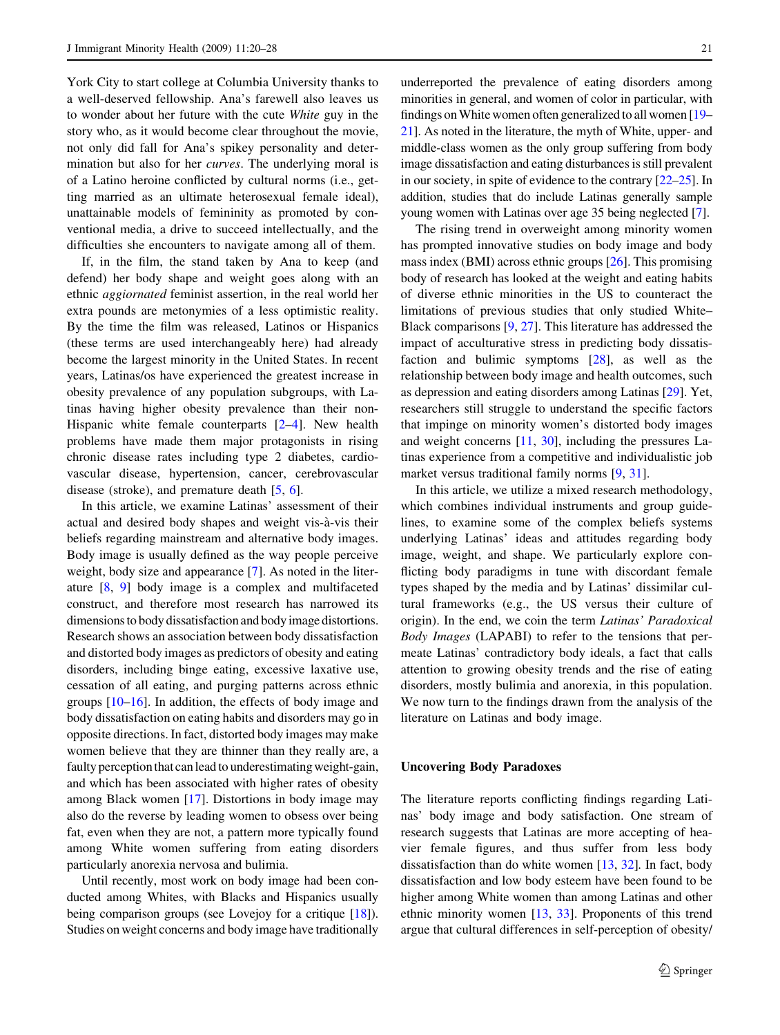York City to start college at Columbia University thanks to a well-deserved fellowship. Ana's farewell also leaves us to wonder about her future with the cute White guy in the story who, as it would become clear throughout the movie, not only did fall for Ana's spikey personality and determination but also for her curves. The underlying moral is of a Latino heroine conflicted by cultural norms (i.e., getting married as an ultimate heterosexual female ideal), unattainable models of femininity as promoted by conventional media, a drive to succeed intellectually, and the difficulties she encounters to navigate among all of them.

If, in the film, the stand taken by Ana to keep (and defend) her body shape and weight goes along with an ethnic aggiornated feminist assertion, in the real world her extra pounds are metonymies of a less optimistic reality. By the time the film was released, Latinos or Hispanics (these terms are used interchangeably here) had already become the largest minority in the United States. In recent years, Latinas/os have experienced the greatest increase in obesity prevalence of any population subgroups, with Latinas having higher obesity prevalence than their non-Hispanic white female counterparts [[2–4\]](#page-7-0). New health problems have made them major protagonists in rising chronic disease rates including type 2 diabetes, cardiovascular disease, hypertension, cancer, cerebrovascular disease (stroke), and premature death [\[5](#page-7-0), [6](#page-7-0)].

In this article, we examine Latinas' assessment of their actual and desired body shapes and weight vis-à-vis their beliefs regarding mainstream and alternative body images. Body image is usually defined as the way people perceive weight, body size and appearance [\[7](#page-7-0)]. As noted in the literature [\[8](#page-7-0), [9\]](#page-7-0) body image is a complex and multifaceted construct, and therefore most research has narrowed its dimensions to body dissatisfaction and body image distortions. Research shows an association between body dissatisfaction and distorted body images as predictors of obesity and eating disorders, including binge eating, excessive laxative use, cessation of all eating, and purging patterns across ethnic groups [\[10–16](#page-7-0)]. In addition, the effects of body image and body dissatisfaction on eating habits and disorders may go in opposite directions. In fact, distorted body images may make women believe that they are thinner than they really are, a faulty perception that can lead to underestimating weight-gain, and which has been associated with higher rates of obesity among Black women [[17\]](#page-7-0). Distortions in body image may also do the reverse by leading women to obsess over being fat, even when they are not, a pattern more typically found among White women suffering from eating disorders particularly anorexia nervosa and bulimia.

Until recently, most work on body image had been conducted among Whites, with Blacks and Hispanics usually being comparison groups (see Lovejoy for a critique [\[18](#page-7-0)]). Studies on weight concerns and body image have traditionally

underreported the prevalence of eating disorders among minorities in general, and women of color in particular, with findings on White women often generalized to all women [\[19](#page-7-0)– [21\]](#page-7-0). As noted in the literature, the myth of White, upper- and middle-class women as the only group suffering from body image dissatisfaction and eating disturbances is still prevalent in our society, in spite of evidence to the contrary [[22–25](#page-7-0)]. In addition, studies that do include Latinas generally sample young women with Latinas over age 35 being neglected [\[7](#page-7-0)].

The rising trend in overweight among minority women has prompted innovative studies on body image and body mass index (BMI) across ethnic groups [\[26\]](#page-7-0). This promising body of research has looked at the weight and eating habits of diverse ethnic minorities in the US to counteract the limitations of previous studies that only studied White– Black comparisons [\[9,](#page-7-0) [27\]](#page-7-0). This literature has addressed the impact of acculturative stress in predicting body dissatisfaction and bulimic symptoms [[28\]](#page-7-0), as well as the relationship between body image and health outcomes, such as depression and eating disorders among Latinas [\[29](#page-7-0)]. Yet, researchers still struggle to understand the specific factors that impinge on minority women's distorted body images and weight concerns [\[11](#page-7-0), [30](#page-8-0)], including the pressures Latinas experience from a competitive and individualistic job market versus traditional family norms [\[9](#page-7-0), [31\]](#page-8-0).

In this article, we utilize a mixed research methodology, which combines individual instruments and group guidelines, to examine some of the complex beliefs systems underlying Latinas' ideas and attitudes regarding body image, weight, and shape. We particularly explore conflicting body paradigms in tune with discordant female types shaped by the media and by Latinas' dissimilar cultural frameworks (e.g., the US versus their culture of origin). In the end, we coin the term Latinas' Paradoxical Body Images (LAPABI) to refer to the tensions that permeate Latinas' contradictory body ideals, a fact that calls attention to growing obesity trends and the rise of eating disorders, mostly bulimia and anorexia, in this population. We now turn to the findings drawn from the analysis of the literature on Latinas and body image.

## Uncovering Body Paradoxes

The literature reports conflicting findings regarding Latinas' body image and body satisfaction. One stream of research suggests that Latinas are more accepting of heavier female figures, and thus suffer from less body dissatisfaction than do white women [\[13](#page-7-0), [32](#page-8-0)]. In fact, body dissatisfaction and low body esteem have been found to be higher among White women than among Latinas and other ethnic minority women [\[13](#page-7-0), [33](#page-8-0)]. Proponents of this trend argue that cultural differences in self-perception of obesity/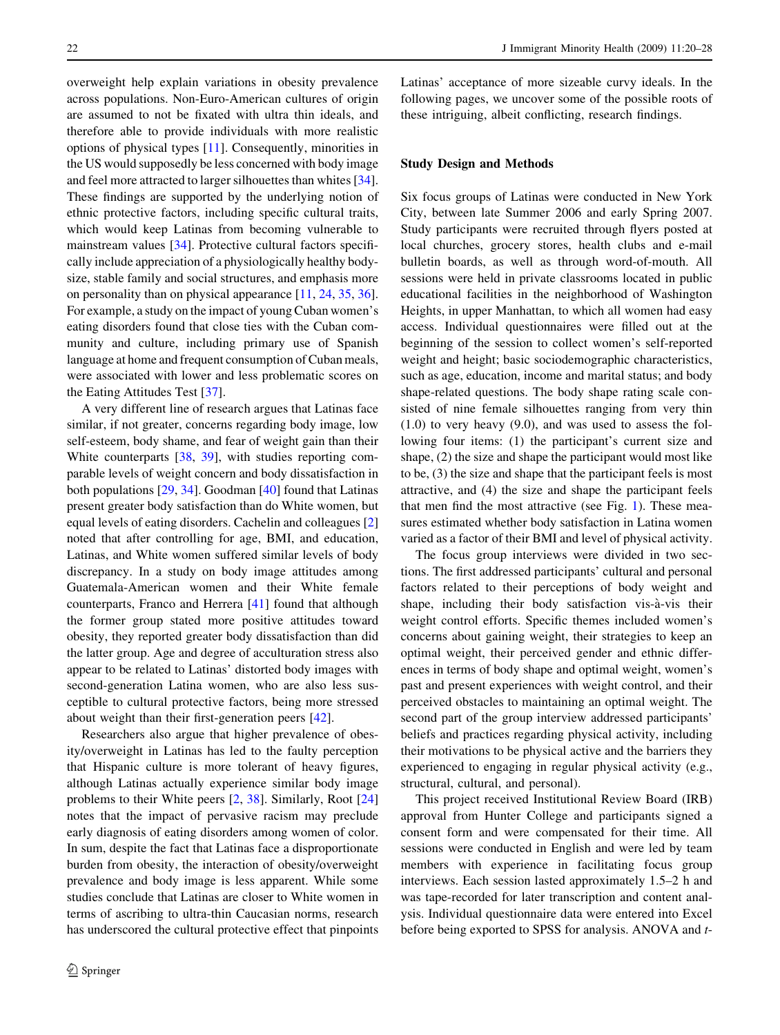overweight help explain variations in obesity prevalence across populations. Non-Euro-American cultures of origin are assumed to not be fixated with ultra thin ideals, and therefore able to provide individuals with more realistic options of physical types [\[11](#page-7-0)]. Consequently, minorities in the US would supposedly be less concerned with body image and feel more attracted to larger silhouettes than whites [\[34](#page-8-0)]. These findings are supported by the underlying notion of ethnic protective factors, including specific cultural traits, which would keep Latinas from becoming vulnerable to mainstream values [[34\]](#page-8-0). Protective cultural factors specifically include appreciation of a physiologically healthy bodysize, stable family and social structures, and emphasis more on personality than on physical appearance [[11,](#page-7-0) [24,](#page-7-0) [35](#page-8-0), [36](#page-8-0)]. For example, a study on the impact of young Cuban women's eating disorders found that close ties with the Cuban community and culture, including primary use of Spanish language at home and frequent consumption of Cuban meals, were associated with lower and less problematic scores on the Eating Attitudes Test [[37\]](#page-8-0).

A very different line of research argues that Latinas face similar, if not greater, concerns regarding body image, low self-esteem, body shame, and fear of weight gain than their White counterparts [[38,](#page-8-0) [39\]](#page-8-0), with studies reporting comparable levels of weight concern and body dissatisfaction in both populations [\[29](#page-7-0), [34](#page-8-0)]. Goodman [\[40](#page-8-0)] found that Latinas present greater body satisfaction than do White women, but equal levels of eating disorders. Cachelin and colleagues [[2\]](#page-7-0) noted that after controlling for age, BMI, and education, Latinas, and White women suffered similar levels of body discrepancy. In a study on body image attitudes among Guatemala-American women and their White female counterparts, Franco and Herrera [\[41](#page-8-0)] found that although the former group stated more positive attitudes toward obesity, they reported greater body dissatisfaction than did the latter group. Age and degree of acculturation stress also appear to be related to Latinas' distorted body images with second-generation Latina women, who are also less susceptible to cultural protective factors, being more stressed about weight than their first-generation peers [[42\]](#page-8-0).

Researchers also argue that higher prevalence of obesity/overweight in Latinas has led to the faulty perception that Hispanic culture is more tolerant of heavy figures, although Latinas actually experience similar body image problems to their White peers [\[2](#page-7-0), [38\]](#page-8-0). Similarly, Root [[24\]](#page-7-0) notes that the impact of pervasive racism may preclude early diagnosis of eating disorders among women of color. In sum, despite the fact that Latinas face a disproportionate burden from obesity, the interaction of obesity/overweight prevalence and body image is less apparent. While some studies conclude that Latinas are closer to White women in terms of ascribing to ultra-thin Caucasian norms, research has underscored the cultural protective effect that pinpoints Latinas' acceptance of more sizeable curvy ideals. In the following pages, we uncover some of the possible roots of these intriguing, albeit conflicting, research findings.

#### Study Design and Methods

Six focus groups of Latinas were conducted in New York City, between late Summer 2006 and early Spring 2007. Study participants were recruited through flyers posted at local churches, grocery stores, health clubs and e-mail bulletin boards, as well as through word-of-mouth. All sessions were held in private classrooms located in public educational facilities in the neighborhood of Washington Heights, in upper Manhattan, to which all women had easy access. Individual questionnaires were filled out at the beginning of the session to collect women's self-reported weight and height; basic sociodemographic characteristics, such as age, education, income and marital status; and body shape-related questions. The body shape rating scale consisted of nine female silhouettes ranging from very thin (1.0) to very heavy (9.0), and was used to assess the following four items: (1) the participant's current size and shape, (2) the size and shape the participant would most like to be, (3) the size and shape that the participant feels is most attractive, and (4) the size and shape the participant feels that men find the most attractive (see Fig. [1\)](#page-3-0). These measures estimated whether body satisfaction in Latina women varied as a factor of their BMI and level of physical activity.

The focus group interviews were divided in two sections. The first addressed participants' cultural and personal factors related to their perceptions of body weight and shape, including their body satisfaction vis-à-vis their weight control efforts. Specific themes included women's concerns about gaining weight, their strategies to keep an optimal weight, their perceived gender and ethnic differences in terms of body shape and optimal weight, women's past and present experiences with weight control, and their perceived obstacles to maintaining an optimal weight. The second part of the group interview addressed participants' beliefs and practices regarding physical activity, including their motivations to be physical active and the barriers they experienced to engaging in regular physical activity (e.g., structural, cultural, and personal).

This project received Institutional Review Board (IRB) approval from Hunter College and participants signed a consent form and were compensated for their time. All sessions were conducted in English and were led by team members with experience in facilitating focus group interviews. Each session lasted approximately 1.5–2 h and was tape-recorded for later transcription and content analysis. Individual questionnaire data were entered into Excel before being exported to SPSS for analysis. ANOVA and t-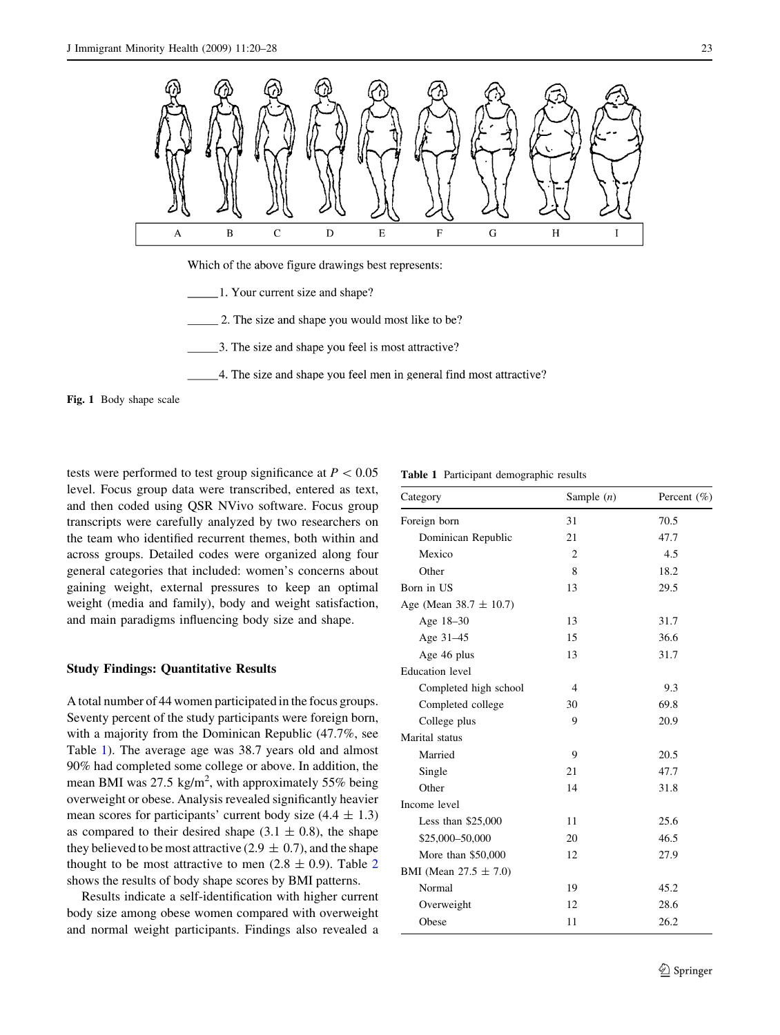<span id="page-3-0"></span>

Which of the above figure drawings best represents:

1. Your current size and shape?

2. The size and shape you would most like to be?

\_3. The size and shape you feel is most attractive?

4. The size and shape you feel men in general find most attractive?

Fig. 1 Body shape scale

tests were performed to test group significance at  $P < 0.05$ level. Focus group data were transcribed, entered as text, and then coded using QSR NVivo software. Focus group transcripts were carefully analyzed by two researchers on the team who identified recurrent themes, both within and across groups. Detailed codes were organized along four general categories that included: women's concerns about gaining weight, external pressures to keep an optimal weight (media and family), body and weight satisfaction, and main paradigms influencing body size and shape.

### Study Findings: Quantitative Results

A total number of 44 women participated in the focus groups. Seventy percent of the study participants were foreign born, with a majority from the Dominican Republic (47.7%, see Table 1). The average age was 38.7 years old and almost 90% had completed some college or above. In addition, the mean BMI was  $27.5 \text{ kg/m}^2$ , with approximately 55% being overweight or obese. Analysis revealed significantly heavier mean scores for participants' current body size  $(4.4 \pm 1.3)$ as compared to their desired shape  $(3.1 \pm 0.8)$ , the shape they believed to be most attractive (2.9  $\pm$  0.7), and the shape thought to be most attractive to men  $(2.8 \pm 0.9)$  $(2.8 \pm 0.9)$  $(2.8 \pm 0.9)$ . Table 2 shows the results of body shape scores by BMI patterns.

Results indicate a self-identification with higher current body size among obese women compared with overweight and normal weight participants. Findings also revealed a

|  |  | Table 1 Participant demographic results |  |
|--|--|-----------------------------------------|--|
|--|--|-----------------------------------------|--|

| Category                    | Sample $(n)$   | Percent $(\% )$ |  |
|-----------------------------|----------------|-----------------|--|
| Foreign born                | 31             | 70.5            |  |
| Dominican Republic          | 21             | 47.7            |  |
| Mexico                      | 2              | 4.5             |  |
| Other                       | 8              | 18.2            |  |
| Born in US                  | 13             | 29.5            |  |
| Age (Mean $38.7 \pm 10.7$ ) |                |                 |  |
| Age 18-30                   | 13             | 31.7            |  |
| Age 31-45                   | 15             | 36.6            |  |
| Age 46 plus                 | 13             | 31.7            |  |
| <b>Education</b> level      |                |                 |  |
| Completed high school       | $\overline{4}$ | 9.3             |  |
| Completed college           | 30             | 69.8            |  |
| College plus                | 9              | 20.9            |  |
| Marital status              |                |                 |  |
| Married                     | 9              | 20.5            |  |
| Single                      | 21             | 47.7            |  |
| Other                       | 14             | 31.8            |  |
| Income level                |                |                 |  |
| Less than $$25,000$         | 11             | 25.6            |  |
| \$25,000-50,000             | 20             | 46.5            |  |
| More than \$50,000          | 12             | 27.9            |  |
| BMI (Mean $27.5 \pm 7.0$ )  |                |                 |  |
| Normal                      | 19             | 45.2            |  |
| Overweight                  | 12             | 28.6            |  |
| Obese                       | 11             | 26.2            |  |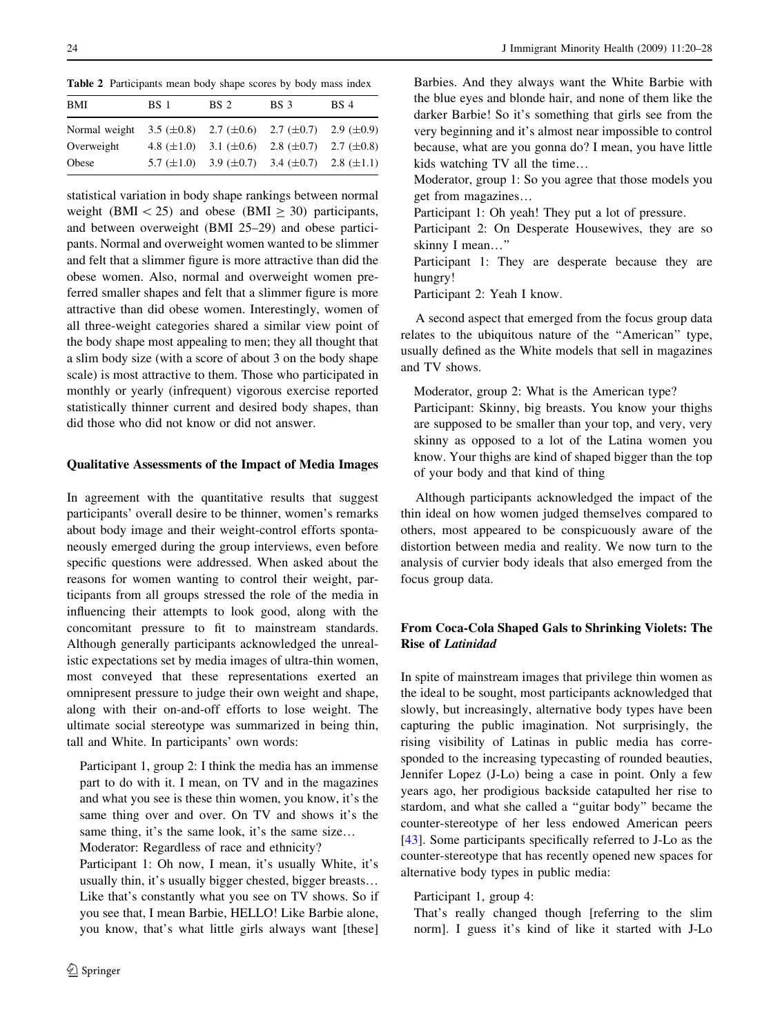<span id="page-4-0"></span>Table 2 Participants mean body shape scores by body mass index

| BMI           | BS 1 | BS <sub>2</sub>                                                     | BS <sub>3</sub> | BS <sub>4</sub> |
|---------------|------|---------------------------------------------------------------------|-----------------|-----------------|
| Normal weight |      | 3.5 ( $\pm$ 0.8) 2.7 ( $\pm$ 0.6) 2.7 ( $\pm$ 0.7) 2.9 ( $\pm$ 0.9) |                 |                 |
| Overweight    |      | 4.8 $(\pm 1.0)$ 3.1 $(\pm 0.6)$ 2.8 $(\pm 0.7)$ 2.7 $(\pm 0.8)$     |                 |                 |
| Obese         |      | 5.7 ( $\pm$ 1.0) 3.9 ( $\pm$ 0.7) 3.4 ( $\pm$ 0.7) 2.8 ( $\pm$ 1.1) |                 |                 |

statistical variation in body shape rankings between normal weight (BMI  $\lt 25$ ) and obese (BMI  $\geq 30$ ) participants, and between overweight (BMI 25–29) and obese participants. Normal and overweight women wanted to be slimmer and felt that a slimmer figure is more attractive than did the obese women. Also, normal and overweight women preferred smaller shapes and felt that a slimmer figure is more attractive than did obese women. Interestingly, women of all three-weight categories shared a similar view point of the body shape most appealing to men; they all thought that a slim body size (with a score of about 3 on the body shape scale) is most attractive to them. Those who participated in monthly or yearly (infrequent) vigorous exercise reported statistically thinner current and desired body shapes, than did those who did not know or did not answer.

#### Qualitative Assessments of the Impact of Media Images

In agreement with the quantitative results that suggest participants' overall desire to be thinner, women's remarks about body image and their weight-control efforts spontaneously emerged during the group interviews, even before specific questions were addressed. When asked about the reasons for women wanting to control their weight, participants from all groups stressed the role of the media in influencing their attempts to look good, along with the concomitant pressure to fit to mainstream standards. Although generally participants acknowledged the unrealistic expectations set by media images of ultra-thin women, most conveyed that these representations exerted an omnipresent pressure to judge their own weight and shape, along with their on-and-off efforts to lose weight. The ultimate social stereotype was summarized in being thin, tall and White. In participants' own words:

Participant 1, group 2: I think the media has an immense part to do with it. I mean, on TV and in the magazines and what you see is these thin women, you know, it's the same thing over and over. On TV and shows it's the same thing, it's the same look, it's the same size... Moderator: Regardless of race and ethnicity?

Participant 1: Oh now, I mean, it's usually White, it's usually thin, it's usually bigger chested, bigger breasts… Like that's constantly what you see on TV shows. So if you see that, I mean Barbie, HELLO! Like Barbie alone, you know, that's what little girls always want [these] Barbies. And they always want the White Barbie with the blue eyes and blonde hair, and none of them like the darker Barbie! So it's something that girls see from the very beginning and it's almost near impossible to control because, what are you gonna do? I mean, you have little kids watching TV all the time…

Moderator, group 1: So you agree that those models you get from magazines…

Participant 1: Oh yeah! They put a lot of pressure.

Participant 2: On Desperate Housewives, they are so skinny I mean…''

Participant 1: They are desperate because they are hungry!

Participant 2: Yeah I know.

A second aspect that emerged from the focus group data relates to the ubiquitous nature of the ''American'' type, usually defined as the White models that sell in magazines and TV shows.

Moderator, group 2: What is the American type? Participant: Skinny, big breasts. You know your thighs are supposed to be smaller than your top, and very, very skinny as opposed to a lot of the Latina women you know. Your thighs are kind of shaped bigger than the top of your body and that kind of thing

Although participants acknowledged the impact of the thin ideal on how women judged themselves compared to others, most appeared to be conspicuously aware of the distortion between media and reality. We now turn to the analysis of curvier body ideals that also emerged from the focus group data.

# From Coca-Cola Shaped Gals to Shrinking Violets: The Rise of Latinidad

In spite of mainstream images that privilege thin women as the ideal to be sought, most participants acknowledged that slowly, but increasingly, alternative body types have been capturing the public imagination. Not surprisingly, the rising visibility of Latinas in public media has corresponded to the increasing typecasting of rounded beauties, Jennifer Lopez (J-Lo) being a case in point. Only a few years ago, her prodigious backside catapulted her rise to stardom, and what she called a ''guitar body'' became the counter-stereotype of her less endowed American peers [\[43](#page-8-0)]. Some participants specifically referred to J-Lo as the counter-stereotype that has recently opened new spaces for alternative body types in public media:

#### Participant 1, group 4:

That's really changed though [referring to the slim norm]. I guess it's kind of like it started with J-Lo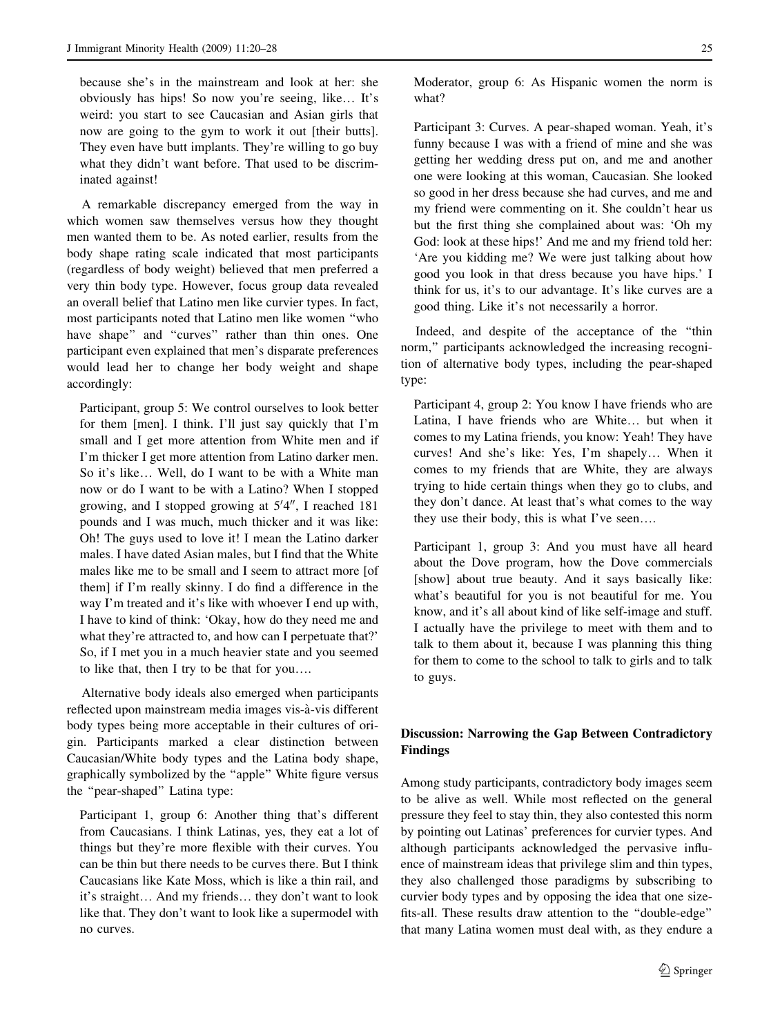because she's in the mainstream and look at her: she obviously has hips! So now you're seeing, like… It's weird: you start to see Caucasian and Asian girls that now are going to the gym to work it out [their butts]. They even have butt implants. They're willing to go buy what they didn't want before. That used to be discriminated against!

A remarkable discrepancy emerged from the way in which women saw themselves versus how they thought men wanted them to be. As noted earlier, results from the body shape rating scale indicated that most participants (regardless of body weight) believed that men preferred a very thin body type. However, focus group data revealed an overall belief that Latino men like curvier types. In fact, most participants noted that Latino men like women ''who have shape" and "curves" rather than thin ones. One participant even explained that men's disparate preferences would lead her to change her body weight and shape accordingly:

Participant, group 5: We control ourselves to look better for them [men]. I think. I'll just say quickly that I'm small and I get more attention from White men and if I'm thicker I get more attention from Latino darker men. So it's like… Well, do I want to be with a White man now or do I want to be with a Latino? When I stopped growing, and I stopped growing at 5'4", I reached 181 pounds and I was much, much thicker and it was like: Oh! The guys used to love it! I mean the Latino darker males. I have dated Asian males, but I find that the White males like me to be small and I seem to attract more [of them] if I'm really skinny. I do find a difference in the way I'm treated and it's like with whoever I end up with, I have to kind of think: 'Okay, how do they need me and what they're attracted to, and how can I perpetuate that?' So, if I met you in a much heavier state and you seemed to like that, then I try to be that for you….

Alternative body ideals also emerged when participants reflected upon mainstream media images vis-à-vis different body types being more acceptable in their cultures of origin. Participants marked a clear distinction between Caucasian/White body types and the Latina body shape, graphically symbolized by the ''apple'' White figure versus the ''pear-shaped'' Latina type:

Participant 1, group 6: Another thing that's different from Caucasians. I think Latinas, yes, they eat a lot of things but they're more flexible with their curves. You can be thin but there needs to be curves there. But I think Caucasians like Kate Moss, which is like a thin rail, and it's straight… And my friends… they don't want to look like that. They don't want to look like a supermodel with no curves.

Moderator, group 6: As Hispanic women the norm is what?

Participant 3: Curves. A pear-shaped woman. Yeah, it's funny because I was with a friend of mine and she was getting her wedding dress put on, and me and another one were looking at this woman, Caucasian. She looked so good in her dress because she had curves, and me and my friend were commenting on it. She couldn't hear us but the first thing she complained about was: 'Oh my God: look at these hips!' And me and my friend told her: 'Are you kidding me? We were just talking about how good you look in that dress because you have hips.' I think for us, it's to our advantage. It's like curves are a good thing. Like it's not necessarily a horror.

Indeed, and despite of the acceptance of the ''thin norm,'' participants acknowledged the increasing recognition of alternative body types, including the pear-shaped type:

Participant 4, group 2: You know I have friends who are Latina, I have friends who are White… but when it comes to my Latina friends, you know: Yeah! They have curves! And she's like: Yes, I'm shapely… When it comes to my friends that are White, they are always trying to hide certain things when they go to clubs, and they don't dance. At least that's what comes to the way they use their body, this is what I've seen….

Participant 1, group 3: And you must have all heard about the Dove program, how the Dove commercials [show] about true beauty. And it says basically like: what's beautiful for you is not beautiful for me. You know, and it's all about kind of like self-image and stuff. I actually have the privilege to meet with them and to talk to them about it, because I was planning this thing for them to come to the school to talk to girls and to talk to guys.

# Discussion: Narrowing the Gap Between Contradictory Findings

Among study participants, contradictory body images seem to be alive as well. While most reflected on the general pressure they feel to stay thin, they also contested this norm by pointing out Latinas' preferences for curvier types. And although participants acknowledged the pervasive influence of mainstream ideas that privilege slim and thin types, they also challenged those paradigms by subscribing to curvier body types and by opposing the idea that one sizefits-all. These results draw attention to the ''double-edge'' that many Latina women must deal with, as they endure a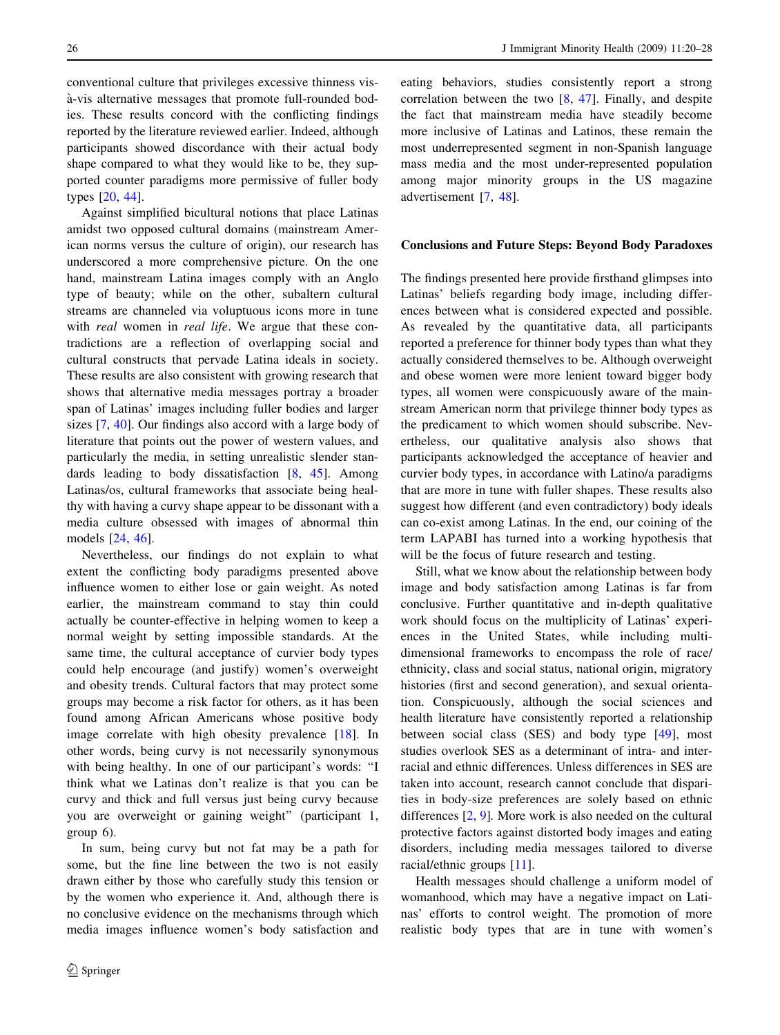conventional culture that privileges excessive thinness visa`-vis alternative messages that promote full-rounded bodies. These results concord with the conflicting findings reported by the literature reviewed earlier. Indeed, although participants showed discordance with their actual body shape compared to what they would like to be, they supported counter paradigms more permissive of fuller body types [[20,](#page-7-0) [44\]](#page-8-0).

Against simplified bicultural notions that place Latinas amidst two opposed cultural domains (mainstream American norms versus the culture of origin), our research has underscored a more comprehensive picture. On the one hand, mainstream Latina images comply with an Anglo type of beauty; while on the other, subaltern cultural streams are channeled via voluptuous icons more in tune with *real* women in *real life*. We argue that these contradictions are a reflection of overlapping social and cultural constructs that pervade Latina ideals in society. These results are also consistent with growing research that shows that alternative media messages portray a broader span of Latinas' images including fuller bodies and larger sizes [[7,](#page-7-0) [40\]](#page-8-0). Our findings also accord with a large body of literature that points out the power of western values, and particularly the media, in setting unrealistic slender standards leading to body dissatisfaction [[8,](#page-7-0) [45\]](#page-8-0). Among Latinas/os, cultural frameworks that associate being healthy with having a curvy shape appear to be dissonant with a media culture obsessed with images of abnormal thin models [[24,](#page-7-0) [46](#page-8-0)].

Nevertheless, our findings do not explain to what extent the conflicting body paradigms presented above influence women to either lose or gain weight. As noted earlier, the mainstream command to stay thin could actually be counter-effective in helping women to keep a normal weight by setting impossible standards. At the same time, the cultural acceptance of curvier body types could help encourage (and justify) women's overweight and obesity trends. Cultural factors that may protect some groups may become a risk factor for others, as it has been found among African Americans whose positive body image correlate with high obesity prevalence [[18\]](#page-7-0). In other words, being curvy is not necessarily synonymous with being healthy. In one of our participant's words: ''I think what we Latinas don't realize is that you can be curvy and thick and full versus just being curvy because you are overweight or gaining weight'' (participant 1, group 6).

In sum, being curvy but not fat may be a path for some, but the fine line between the two is not easily drawn either by those who carefully study this tension or by the women who experience it. And, although there is no conclusive evidence on the mechanisms through which media images influence women's body satisfaction and eating behaviors, studies consistently report a strong correlation between the two [\[8](#page-7-0), [47](#page-8-0)]. Finally, and despite the fact that mainstream media have steadily become more inclusive of Latinas and Latinos, these remain the most underrepresented segment in non-Spanish language mass media and the most under-represented population among major minority groups in the US magazine advertisement [[7,](#page-7-0) [48](#page-8-0)].

#### Conclusions and Future Steps: Beyond Body Paradoxes

The findings presented here provide firsthand glimpses into Latinas' beliefs regarding body image, including differences between what is considered expected and possible. As revealed by the quantitative data, all participants reported a preference for thinner body types than what they actually considered themselves to be. Although overweight and obese women were more lenient toward bigger body types, all women were conspicuously aware of the mainstream American norm that privilege thinner body types as the predicament to which women should subscribe. Nevertheless, our qualitative analysis also shows that participants acknowledged the acceptance of heavier and curvier body types, in accordance with Latino/a paradigms that are more in tune with fuller shapes. These results also suggest how different (and even contradictory) body ideals can co-exist among Latinas. In the end, our coining of the term LAPABI has turned into a working hypothesis that will be the focus of future research and testing.

Still, what we know about the relationship between body image and body satisfaction among Latinas is far from conclusive. Further quantitative and in-depth qualitative work should focus on the multiplicity of Latinas' experiences in the United States, while including multidimensional frameworks to encompass the role of race/ ethnicity, class and social status, national origin, migratory histories (first and second generation), and sexual orientation. Conspicuously, although the social sciences and health literature have consistently reported a relationship between social class (SES) and body type [\[49](#page-8-0)], most studies overlook SES as a determinant of intra- and interracial and ethnic differences. Unless differences in SES are taken into account, research cannot conclude that disparities in body-size preferences are solely based on ethnic differences [[2,](#page-7-0) [9\]](#page-7-0). More work is also needed on the cultural protective factors against distorted body images and eating disorders, including media messages tailored to diverse racial/ethnic groups [[11\]](#page-7-0).

Health messages should challenge a uniform model of womanhood, which may have a negative impact on Latinas' efforts to control weight. The promotion of more realistic body types that are in tune with women's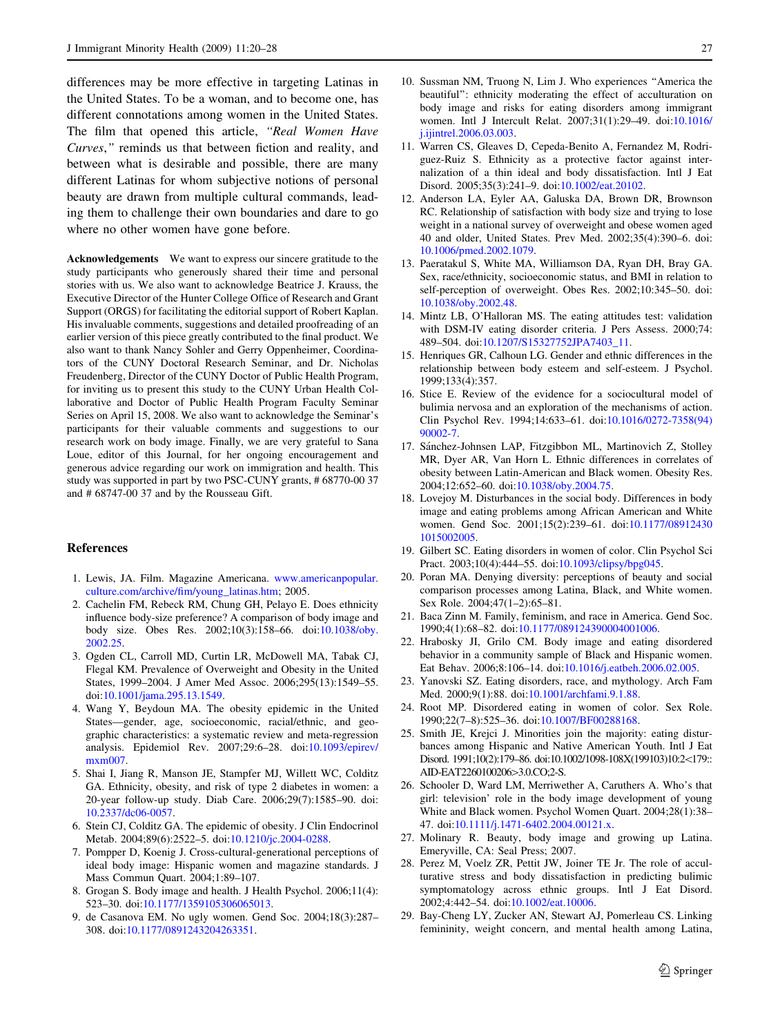<span id="page-7-0"></span>differences may be more effective in targeting Latinas in the United States. To be a woman, and to become one, has different connotations among women in the United States. The film that opened this article, "Real Women Have Curves,'' reminds us that between fiction and reality, and between what is desirable and possible, there are many different Latinas for whom subjective notions of personal beauty are drawn from multiple cultural commands, leading them to challenge their own boundaries and dare to go where no other women have gone before.

Acknowledgements We want to express our sincere gratitude to the study participants who generously shared their time and personal stories with us. We also want to acknowledge Beatrice J. Krauss, the Executive Director of the Hunter College Office of Research and Grant Support (ORGS) for facilitating the editorial support of Robert Kaplan. His invaluable comments, suggestions and detailed proofreading of an earlier version of this piece greatly contributed to the final product. We also want to thank Nancy Sohler and Gerry Oppenheimer, Coordinators of the CUNY Doctoral Research Seminar, and Dr. Nicholas Freudenberg, Director of the CUNY Doctor of Public Health Program, for inviting us to present this study to the CUNY Urban Health Collaborative and Doctor of Public Health Program Faculty Seminar Series on April 15, 2008. We also want to acknowledge the Seminar's participants for their valuable comments and suggestions to our research work on body image. Finally, we are very grateful to Sana Loue, editor of this Journal, for her ongoing encouragement and generous advice regarding our work on immigration and health. This study was supported in part by two PSC-CUNY grants, # 68770-00 37 and # 68747-00 37 and by the Rousseau Gift.

## References

- 1. Lewis, JA. Film. Magazine Americana. [www.americanpopular.](http://www.americanpopular.culture.com/archive/fim/young_latinas.htm) [culture.com/archive/fim/young\\_latinas.htm](http://www.americanpopular.culture.com/archive/fim/young_latinas.htm); 2005.
- 2. Cachelin FM, Rebeck RM, Chung GH, Pelayo E. Does ethnicity influence body-size preference? A comparison of body image and body size. Obes Res. 2002;10(3):158–66. doi[:10.1038/oby.](http://dx.doi.org/10.1038/oby.2002.25) [2002.25](http://dx.doi.org/10.1038/oby.2002.25).
- 3. Ogden CL, Carroll MD, Curtin LR, McDowell MA, Tabak CJ, Flegal KM. Prevalence of Overweight and Obesity in the United States, 1999–2004. J Amer Med Assoc. 2006;295(13):1549–55. doi:[10.1001/jama.295.13.1549.](http://dx.doi.org/10.1001/jama.295.13.1549)
- 4. Wang Y, Beydoun MA. The obesity epidemic in the United States—gender, age, socioeconomic, racial/ethnic, and geographic characteristics: a systematic review and meta-regression analysis. Epidemiol Rev. 2007;29:6–28. doi:[10.1093/epirev/](http://dx.doi.org/10.1093/epirev/mxm007) [mxm007.](http://dx.doi.org/10.1093/epirev/mxm007)
- 5. Shai I, Jiang R, Manson JE, Stampfer MJ, Willett WC, Colditz GA. Ethnicity, obesity, and risk of type 2 diabetes in women: a 20-year follow-up study. Diab Care. 2006;29(7):1585–90. doi: [10.2337/dc06-0057.](http://dx.doi.org/10.2337/dc06-0057)
- 6. Stein CJ, Colditz GA. The epidemic of obesity. J Clin Endocrinol Metab. 2004;89(6):2522–5. doi:[10.1210/jc.2004-0288.](http://dx.doi.org/10.1210/jc.2004-0288)
- 7. Pompper D, Koenig J. Cross-cultural-generational perceptions of ideal body image: Hispanic women and magazine standards. J Mass Commun Quart. 2004;1:89–107.
- 8. Grogan S. Body image and health. J Health Psychol. 2006;11(4): 523–30. doi[:10.1177/1359105306065013.](http://dx.doi.org/10.1177/1359105306065013)
- 9. de Casanova EM. No ugly women. Gend Soc. 2004;18(3):287– 308. doi[:10.1177/0891243204263351](http://dx.doi.org/10.1177/0891243204263351).
- 10. Sussman NM, Truong N, Lim J. Who experiences ''America the beautiful'': ethnicity moderating the effect of acculturation on body image and risks for eating disorders among immigrant women. Intl J Intercult Relat. 2007;31(1):29–49. doi[:10.1016/](http://dx.doi.org/10.1016/j.ijintrel.2006.03.003) [j.ijintrel.2006.03.003](http://dx.doi.org/10.1016/j.ijintrel.2006.03.003).
- 11. Warren CS, Gleaves D, Cepeda-Benito A, Fernandez M, Rodriguez-Ruiz S. Ethnicity as a protective factor against internalization of a thin ideal and body dissatisfaction. Intl J Eat Disord. 2005;35(3):241–9. doi[:10.1002/eat.20102](http://dx.doi.org/10.1002/eat.20102).
- 12. Anderson LA, Eyler AA, Galuska DA, Brown DR, Brownson RC. Relationship of satisfaction with body size and trying to lose weight in a national survey of overweight and obese women aged 40 and older, United States. Prev Med. 2002;35(4):390–6. doi: [10.1006/pmed.2002.1079.](http://dx.doi.org/10.1006/pmed.2002.1079)
- 13. Paeratakul S, White MA, Williamson DA, Ryan DH, Bray GA. Sex, race/ethnicity, socioeconomic status, and BMI in relation to self-perception of overweight. Obes Res. 2002;10:345–50. doi: [10.1038/oby.2002.48.](http://dx.doi.org/10.1038/oby.2002.48)
- 14. Mintz LB, O'Halloran MS. The eating attitudes test: validation with DSM-IV eating disorder criteria. J Pers Assess. 2000;74: 489–504. doi:[10.1207/S15327752JPA7403\\_11.](http://dx.doi.org/10.1207/S15327752JPA7403_11)
- 15. Henriques GR, Calhoun LG. Gender and ethnic differences in the relationship between body esteem and self-esteem. J Psychol. 1999;133(4):357.
- 16. Stice E. Review of the evidence for a sociocultural model of bulimia nervosa and an exploration of the mechanisms of action. Clin Psychol Rev. 1994;14:633–61. doi:[10.1016/0272-7358\(94\)](http://dx.doi.org/10.1016/0272-7358(94)90002-7) [90002-7.](http://dx.doi.org/10.1016/0272-7358(94)90002-7)
- 17. Sánchez-Johnsen LAP, Fitzgibbon ML, Martinovich Z, Stolley MR, Dyer AR, Van Horn L. Ethnic differences in correlates of obesity between Latin-American and Black women. Obesity Res. 2004;12:652–60. doi[:10.1038/oby.2004.75.](http://dx.doi.org/10.1038/oby.2004.75)
- 18. Lovejoy M. Disturbances in the social body. Differences in body image and eating problems among African American and White women. Gend Soc. 2001;15(2):239–61. doi[:10.1177/08912430](http://dx.doi.org/10.1177/089124301015002005) [1015002005](http://dx.doi.org/10.1177/089124301015002005).
- 19. Gilbert SC. Eating disorders in women of color. Clin Psychol Sci Pract. 2003;10(4):444–55. doi:[10.1093/clipsy/bpg045.](http://dx.doi.org/10.1093/clipsy/bpg045)
- 20. Poran MA. Denying diversity: perceptions of beauty and social comparison processes among Latina, Black, and White women. Sex Role. 2004;47(1–2):65–81.
- 21. Baca Zinn M. Family, feminism, and race in America. Gend Soc. 1990;4(1):68–82. doi:[10.1177/089124390004001006](http://dx.doi.org/10.1177/089124390004001006).
- 22. Hrabosky JI, Grilo CM. Body image and eating disordered behavior in a community sample of Black and Hispanic women. Eat Behav. 2006;8:106–14. doi[:10.1016/j.eatbeh.2006.02.005](http://dx.doi.org/10.1016/j.eatbeh.2006.02.005).
- 23. Yanovski SZ. Eating disorders, race, and mythology. Arch Fam Med. 2000;9(1):88. doi:[10.1001/archfami.9.1.88](http://dx.doi.org/10.1001/archfami.9.1.88).
- 24. Root MP. Disordered eating in women of color. Sex Role. 1990;22(7–8):525–36. doi:[10.1007/BF00288168.](http://dx.doi.org/10.1007/BF00288168)
- 25. Smith JE, Krejci J. Minorities join the majority: eating disturbances among Hispanic and Native American Youth. Intl J Eat Disord. 1991;10(2):179–86. doi:10.1002/1098-108X(199103)10:2<179:: AID-EAT2260100206>3.0.CO;2-S.
- 26. Schooler D, Ward LM, Merriwether A, Caruthers A. Who's that girl: television' role in the body image development of young White and Black women. Psychol Women Quart. 2004;28(1):38– 47. doi[:10.1111/j.1471-6402.2004.00121.x](http://dx.doi.org/10.1111/j.1471-6402.2004.00121.x).
- 27. Molinary R. Beauty, body image and growing up Latina. Emeryville, CA: Seal Press; 2007.
- 28. Perez M, Voelz ZR, Pettit JW, Joiner TE Jr. The role of acculturative stress and body dissatisfaction in predicting bulimic symptomatology across ethnic groups. Intl J Eat Disord. 2002;4:442–54. doi[:10.1002/eat.10006](http://dx.doi.org/10.1002/eat.10006).
- 29. Bay-Cheng LY, Zucker AN, Stewart AJ, Pomerleau CS. Linking femininity, weight concern, and mental health among Latina,